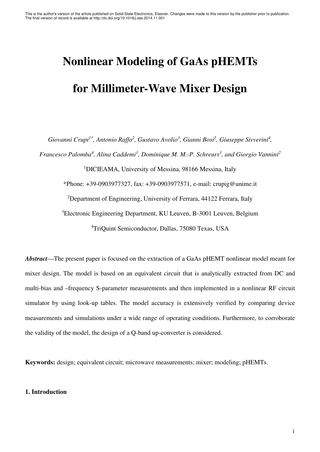# **Nonlinear Modeling of GaAs pHEMTs for Millimeter-Wave Mixer Design**

*Giovanni Crupi<sup>1\*</sup>, Antonio Raffo<sup>2</sup>, Gustavo Avolio<sup>3</sup>, Gianni Bosi<sup>2</sup>, Giuseppe Sivverini<sup>4</sup>,* 

*Francesco Palomba<sup>4</sup> , Alina Caddemi<sup>1</sup> , Dominique M. M.-P. Schreurs<sup>3</sup> , and Giorgio Vannini<sup>2</sup>*

<sup>1</sup>DICIEAMA, University of Messina, 98166 Messina, Italy

\*Phone: +39-0903977327, fax: +39-0903977571, e-mail: crupig@unime.it

<sup>2</sup>Department of Engineering, University of Ferrara, 44122 Ferrara, Italy

<sup>3</sup>Electronic Engineering Department, KU Leuven, B-3001 Leuven, Belgium <sup>4</sup>TriQuint Semiconductor, Dallas, 75080 Texas, USA

*Abstract*—The present paper is focused on the extraction of a GaAs pHEMT nonlinear model meant for mixer design. The model is based on an equivalent circuit that is analytically extracted from DC and multi-bias and –frequency S-parameter measurements and then implemented in a nonlinear RF circuit simulator by using look-up tables. The model accuracy is extensively verified by comparing device measurements and simulations under a wide range of operating conditions. Furthermore, to corroborate the validity of the model, the design of a Q-band up-converter is considered.

**Keywords:** design; equivalent circuit; microwave measurements; mixer; modeling; pHEMTs.

# **1. Introduction**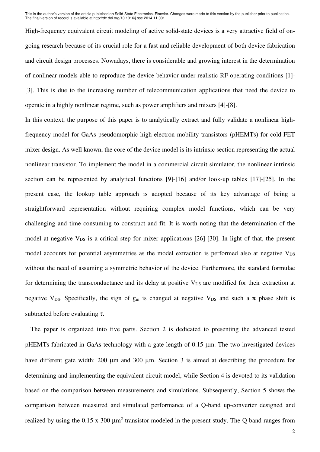High-frequency equivalent circuit modeling of active solid-state devices is a very attractive field of ongoing research because of its crucial role for a fast and reliable development of both device fabrication and circuit design processes. Nowadays, there is considerable and growing interest in the determination of nonlinear models able to reproduce the device behavior under realistic RF operating conditions [1]- [3]. This is due to the increasing number of telecommunication applications that need the device to operate in a highly nonlinear regime, such as power amplifiers and mixers [4]-[8].

In this context, the purpose of this paper is to analytically extract and fully validate a nonlinear highfrequency model for GaAs pseudomorphic high electron mobility transistors (pHEMTs) for cold-FET mixer design. As well known, the core of the device model is its intrinsic section representing the actual nonlinear transistor. To implement the model in a commercial circuit simulator, the nonlinear intrinsic section can be represented by analytical functions [9]-[16] and/or look-up tables [17]-[25]. In the present case, the lookup table approach is adopted because of its key advantage of being a straightforward representation without requiring complex model functions, which can be very challenging and time consuming to construct and fit. It is worth noting that the determination of the model at negative  $V_{DS}$  is a critical step for mixer applications [26]-[30]. In light of that, the present model accounts for potential asymmetries as the model extraction is performed also at negative V<sub>DS</sub> without the need of assuming a symmetric behavior of the device. Furthermore, the standard formulae for determining the transconductance and its delay at positive V<sub>DS</sub> are modified for their extraction at negative V<sub>DS</sub>. Specifically, the sign of  $g_m$  is changed at negative V<sub>DS</sub> and such a  $\pi$  phase shift is subtracted before evaluating τ.

The paper is organized into five parts. Section 2 is dedicated to presenting the advanced tested pHEMTs fabricated in GaAs technology with a gate length of 0.15 µm. The two investigated devices have different gate width: 200 µm and 300 µm. Section 3 is aimed at describing the procedure for determining and implementing the equivalent circuit model, while Section 4 is devoted to its validation based on the comparison between measurements and simulations. Subsequently, Section 5 shows the comparison between measured and simulated performance of a Q-band up-converter designed and realized by using the  $0.15 \times 300 \mu m^2$  transistor modeled in the present study. The Q-band ranges from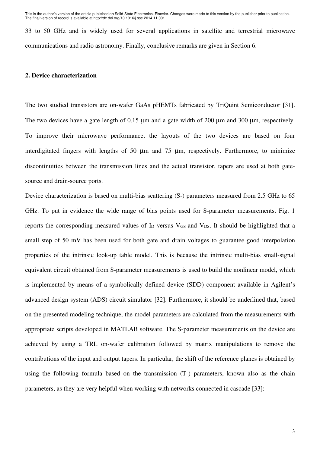33 to 50 GHz and is widely used for several applications in satellite and terrestrial microwave communications and radio astronomy. Finally, conclusive remarks are given in Section 6.

# **2. Device characterization**

The two studied transistors are on-wafer GaAs pHEMTs fabricated by TriQuint Semiconductor [31]. The two devices have a gate length of 0.15  $\mu$ m and a gate width of 200  $\mu$ m and 300  $\mu$ m, respectively. To improve their microwave performance, the layouts of the two devices are based on four interdigitated fingers with lengths of 50 um and 75 um, respectively. Furthermore, to minimize discontinuities between the transmission lines and the actual transistor, tapers are used at both gatesource and drain-source ports.

Device characterization is based on multi-bias scattering (S-) parameters measured from 2.5 GHz to 65 GHz. To put in evidence the wide range of bias points used for S-parameter measurements, Fig. 1 reports the corresponding measured values of I<sub>D</sub> versus V<sub>GS</sub> and V<sub>DS</sub>. It should be highlighted that a small step of 50 mV has been used for both gate and drain voltages to guarantee good interpolation properties of the intrinsic look-up table model. This is because the intrinsic multi-bias small-signal equivalent circuit obtained from S-parameter measurements is used to build the nonlinear model, which is implemented by means of a symbolically defined device (SDD) component available in Agilent's advanced design system (ADS) circuit simulator [32]. Furthermore, it should be underlined that, based on the presented modeling technique, the model parameters are calculated from the measurements with appropriate scripts developed in MATLAB software. The S-parameter measurements on the device are achieved by using a TRL on-wafer calibration followed by matrix manipulations to remove the contributions of the input and output tapers. In particular, the shift of the reference planes is obtained by using the following formula based on the transmission (T-) parameters, known also as the chain parameters, as they are very helpful when working with networks connected in cascade [33]: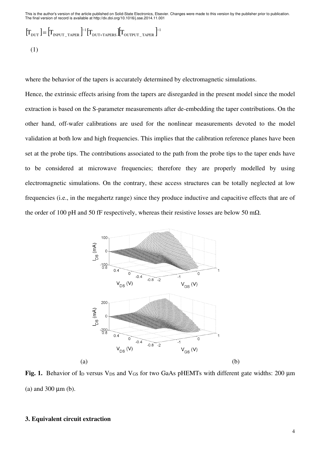$$
\begin{aligned} \left[T_{\text{DUT}}\right] &= \left[T_{\text{INPUT\_TAPER}}\right]^{-1} \left[T_{\text{DUT+TAPERS}}\right] \left[T_{\text{OUTPUT\_TAPER}}\right]^{-1} \\ (1) \end{aligned}
$$

where the behavior of the tapers is accurately determined by electromagnetic simulations.

Hence, the extrinsic effects arising from the tapers are disregarded in the present model since the model extraction is based on the S-parameter measurements after de-embedding the taper contributions. On the other hand, off-wafer calibrations are used for the nonlinear measurements devoted to the model validation at both low and high frequencies. This implies that the calibration reference planes have been set at the probe tips. The contributions associated to the path from the probe tips to the taper ends have to be considered at microwave frequencies; therefore they are properly modelled by using electromagnetic simulations. On the contrary, these access structures can be totally neglected at low frequencies (i.e., in the megahertz range) since they produce inductive and capacitive effects that are of the order of 100 pH and 50 fF respectively, whereas their resistive losses are below 50 m $\Omega$ .



Fig. 1. Behavior of I<sub>D</sub> versus V<sub>DS</sub> and V<sub>GS</sub> for two GaAs pHEMTs with different gate widths: 200 µm (a) and 300 µm (b).

### **3. Equivalent circuit extraction**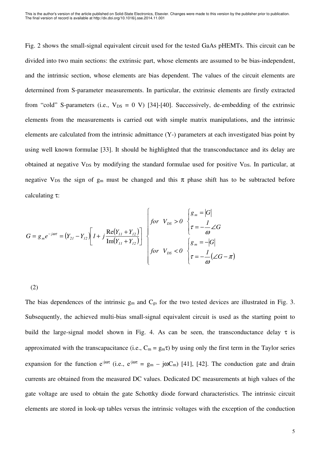Fig. 2 shows the small-signal equivalent circuit used for the tested GaAs pHEMTs. This circuit can be divided into two main sections: the extrinsic part, whose elements are assumed to be bias-independent, and the intrinsic section, whose elements are bias dependent. The values of the circuit elements are determined from S-parameter measurements. In particular, the extrinsic elements are firstly extracted from "cold" S-parameters (i.e.,  $V_{DS} = 0$  V) [34]-[40]. Successively, de-embedding of the extrinsic elements from the measurements is carried out with simple matrix manipulations, and the intrinsic elements are calculated from the intrinsic admittance (Y-) parameters at each investigated bias point by using well known formulae [33]. It should be highlighted that the transconductance and its delay are obtained at negative  $V_{DS}$  by modifying the standard formulae used for positive  $V_{DS}$ . In particular, at negative V<sub>DS</sub> the sign of  $g_m$  must be changed and this  $\pi$  phase shift has to be subtracted before calculating τ:

$$
G = g_m e^{-j\omega \tau} = (Y_{21} - Y_{12}) \left[ 1 + j \frac{\text{Re}(Y_{11} + Y_{12})}{\text{Im}(Y_{11} + Y_{12})} \right]
$$
\n
$$
\begin{cases}\nfor & V_{DS} > 0 \\
\tau = -\frac{1}{\omega} \angle G \\
for & V_{DS} < 0\n\end{cases}\n\begin{cases}\ng_m = |G| \\
\tau = -\frac{1}{\omega} \angle G \\
\tau = -\frac{1}{\omega} (\angle G - \pi)\n\end{cases}
$$

(2)

The bias dependences of the intrinsic  $g_m$  and  $C_{gs}$  for the two tested devices are illustrated in Fig. 3. Subsequently, the achieved multi-bias small-signal equivalent circuit is used as the starting point to build the large-signal model shown in Fig. 4. As can be seen, the transconductance delay  $\tau$  is approximated with the transcapacitance (i.e.,  $C_m = g_m\tau$ ) by using only the first term in the Taylor series expansion for the function  $e^{-j\omega\tau}$  (i.e.,  $e^{-j\omega\tau} = g_m - j\omega C_m$ ) [41], [42]. The conduction gate and drain currents are obtained from the measured DC values. Dedicated DC measurements at high values of the gate voltage are used to obtain the gate Schottky diode forward characteristics. The intrinsic circuit elements are stored in look-up tables versus the intrinsic voltages with the exception of the conduction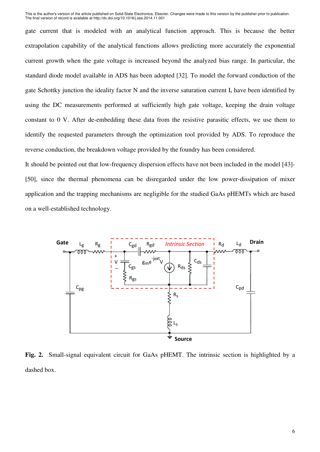gate current that is modeled with an analytical function approach. This is because the better extrapolation capability of the analytical functions allows predicting more accurately the exponential current growth when the gate voltage is increased beyond the analyzed bias range. In particular, the standard diode model available in ADS has been adopted [32]. To model the forward conduction of the gate Schottky junction the ideality factor N and the inverse saturation current  $I_s$  have been identified by using the DC measurements performed at sufficiently high gate voltage, keeping the drain voltage constant to 0 V. After de-embedding these data from the resistive parasitic effects, we use them to identify the requested parameters through the optimization tool provided by ADS. To reproduce the reverse conduction, the breakdown voltage provided by the foundry has been considered.

It should be pointed out that low-frequency dispersion effects have not been included in the model [43]- [50], since the thermal phenomena can be disregarded under the low power-dissipation of mixer application and the trapping mechanisms are negligible for the studied GaAs pHEMTs which are based on a well-established technology.



**Fig. 2.** Small-signal equivalent circuit for GaAs pHEMT. The intrinsic section is highlighted by a dashed box.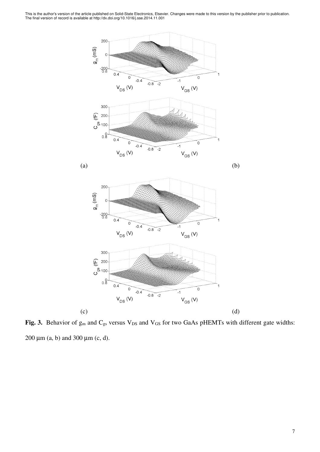

Fig. 3. Behavior of g<sub>m</sub> and C<sub>gs</sub> versus V<sub>DS</sub> and V<sub>GS</sub> for two GaAs pHEMTs with different gate widths: 200  $\mu$ m (a, b) and 300  $\mu$ m (c, d).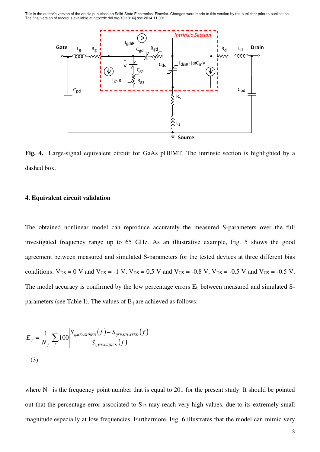

**Fig. 4.** Large-signal equivalent circuit for GaAs pHEMT. The intrinsic section is highlighted by a dashed box.

#### **4. Equivalent circuit validation**

The obtained nonlinear model can reproduce accurately the measured S-parameters over the full investigated frequency range up to 65 GHz. As an illustrative example, Fig. 5 shows the good agreement between measured and simulated S-parameters for the tested devices at three different bias conditions:  $V_{DS} = 0$  V and  $V_{GS} = -1$  V,  $V_{DS} = 0.5$  V and  $V_{GS} = -0.8$  V,  $V_{DS} = -0.5$  V and  $V_{GS} = -0.5$  V. The model accuracy is confirmed by the low percentage errors  $E_{ij}$  between measured and simulated Sparameters (see Table I). The values of  $E_{ij}$  are achieved as follows:

$$
E_{ij} = \frac{1}{N_f} \sum_{f} 100 \left| \frac{S_{ijMEASURED}(f) - S_{ijSIMULATED}(f)}{S_{ijMEASURED}(f)} \right|
$$
\n(3)

where  $N_f$  is the frequency point number that is equal to 201 for the present study. It should be pointed out that the percentage error associated to  $S_{12}$  may reach very high values, due to its extremely small magnitude especially at low frequencies. Furthermore, Fig. 6 illustrates that the model can mimic very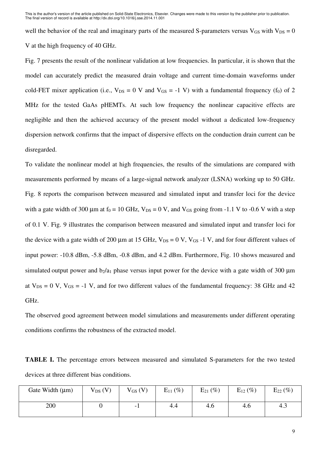well the behavior of the real and imaginary parts of the measured S-parameters versus  $V_{GS}$  with  $V_{DS} = 0$ V at the high frequency of 40 GHz.

Fig. 7 presents the result of the nonlinear validation at low frequencies. In particular, it is shown that the model can accurately predict the measured drain voltage and current time-domain waveforms under cold-FET mixer application (i.e.,  $V_{DS} = 0$  V and  $V_{GS} = -1$  V) with a fundamental frequency (f<sub>0</sub>) of 2 MHz for the tested GaAs pHEMTs. At such low frequency the nonlinear capacitive effects are negligible and then the achieved accuracy of the present model without a dedicated low-frequency dispersion network confirms that the impact of dispersive effects on the conduction drain current can be disregarded.

To validate the nonlinear model at high frequencies, the results of the simulations are compared with measurements performed by means of a large-signal network analyzer (LSNA) working up to 50 GHz. Fig. 8 reports the comparison between measured and simulated input and transfer loci for the device with a gate width of 300 µm at  $f_0 = 10$  GHz,  $V_{DS} = 0$  V, and  $V_{GS}$  going from -1.1 V to -0.6 V with a step of 0.1 V. Fig. 9 illustrates the comparison between measured and simulated input and transfer loci for the device with a gate width of 200  $\mu$ m at 15 GHz, V<sub>DS</sub> = 0 V, V<sub>GS</sub> -1 V, and for four different values of input power: -10.8 dBm, -5.8 dBm, -0.8 dBm, and 4.2 dBm. Furthermore, Fig. 10 shows measured and simulated output power and  $b_2/a_1$  phase versus input power for the device with a gate width of 300  $\mu$ m at  $V_{DS} = 0$  V,  $V_{GS} = -1$  V, and for two different values of the fundamental frequency: 38 GHz and 42 GHz.

The observed good agreement between model simulations and measurements under different operating conditions confirms the robustness of the extracted model.

**TABLE I.** The percentage errors between measured and simulated S-parameters for the two tested devices at three different bias conditions.

| Gate Width $(\mu m)$ | $V_{DS} (V)$ | $V_{GS} (V)$ | $E_{11}$ (%) | $E_{21}$ (%) | $E_{12}$ (%) | $E_{22}$ (%) |
|----------------------|--------------|--------------|--------------|--------------|--------------|--------------|
| 200                  |              | -1           | 4.4          | 4.6          | 4.6          | 4.3          |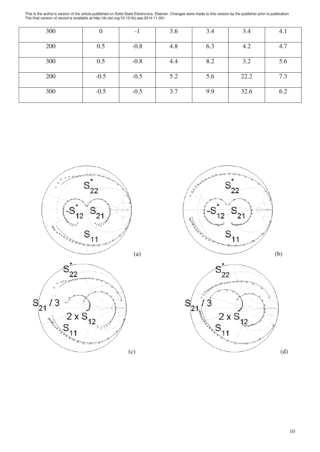| 300 |        | -1     | 3.6 | 3.4 | 3.4  | 4.1 |
|-----|--------|--------|-----|-----|------|-----|
| 200 | 0.5    | $-0.8$ | 4.8 | 6.3 | 4.2  | 4.7 |
| 300 | 0.5    | $-0.8$ | 4.4 | 8.2 | 3.2  | 5.6 |
| 200 | $-0.5$ | $-0.5$ | 5.2 | 5.6 | 22.2 | 7.3 |
| 300 | $-0.5$ | $-0.5$ | 3.7 | 9.9 | 32.6 | 6.2 |









10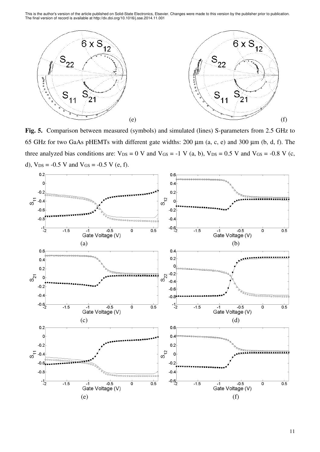

**Fig. 5.** Comparison between measured (symbols) and simulated (lines) S-parameters from 2.5 GHz to 65 GHz for two GaAs pHEMTs with different gate widths: 200 µm (a, c, e) and 300 µm (b, d, f). The three analyzed bias conditions are:  $V_{DS} = 0$  V and  $V_{GS} = -1$  V (a, b),  $V_{DS} = 0.5$  V and  $V_{GS} = -0.8$  V (c, d),  $V_{DS} = -0.5$  V and  $V_{GS} = -0.5$  V (e, f).

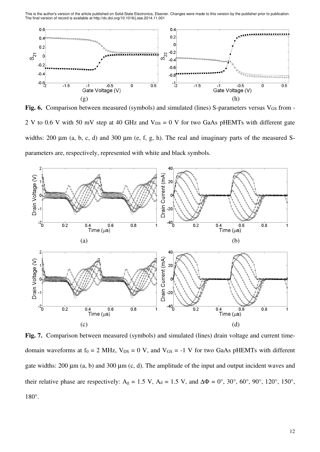

Fig. 6. Comparison between measured (symbols) and simulated (lines) S-parameters versus V<sub>GS</sub> from -2 V to 0.6 V with 50 mV step at 40 GHz and  $V_{DS} = 0$  V for two GaAs pHEMTs with different gate widths: 200  $\mu$ m (a, b, c, d) and 300  $\mu$ m (e, f, g, h). The real and imaginary parts of the measured Sparameters are, respectively, represented with white and black symbols.



Fig. 7. Comparison between measured (symbols) and simulated (lines) drain voltage and current timedomain waveforms at  $f_0 = 2$  MHz,  $V_{DS} = 0$  V, and  $V_{GS} = -1$  V for two GaAs pHEMTs with different gate widths:  $200 \mu m$  (a, b) and  $300 \mu m$  (c, d). The amplitude of the input and output incident waves and their relative phase are respectively: A<sub>g</sub> = 1.5 V, A<sub>d</sub> = 1.5 V, and  $\Delta\Phi = 0^{\circ}$ , 30°, 60°, 90°, 120°, 150°, 180°.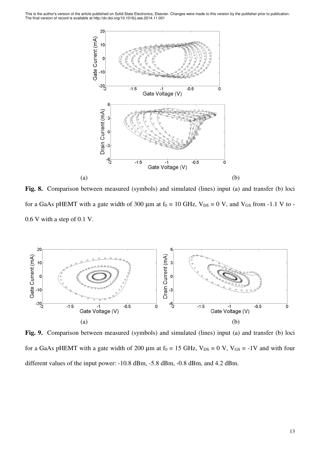

**Fig. 8.** Comparison between measured (symbols) and simulated (lines) input (a) and transfer (b) loci for a GaAs pHEMT with a gate width of 300  $\mu$ m at f<sub>0</sub> = 10 GHz, V<sub>DS</sub> = 0 V, and V<sub>GS</sub> from -1.1 V to -0.6 V with a step of 0.1 V.



**Fig. 9.** Comparison between measured (symbols) and simulated (lines) input (a) and transfer (b) loci for a GaAs pHEMT with a gate width of 200  $\mu$ m at f<sub>0</sub> = 15 GHz, V<sub>DS</sub> = 0 V, V<sub>GS</sub> = -1V and with four different values of the input power: -10.8 dBm, -5.8 dBm, -0.8 dBm, and 4.2 dBm.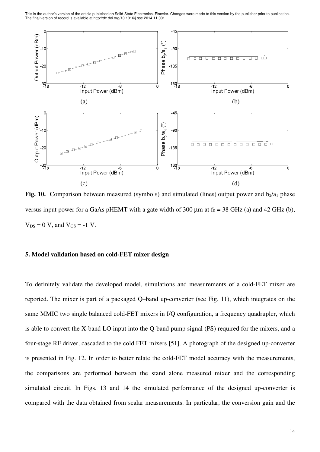

**Fig. 10.** Comparison between measured (symbols) and simulated (lines) output power and  $b_2/a_1$  phase versus input power for a GaAs pHEMT with a gate width of 300  $\mu$ m at f<sub>0</sub> = 38 GHz (a) and 42 GHz (b),  $V_{DS} = 0$  V, and  $V_{GS} = -1$  V.

#### **5. Model validation based on cold-FET mixer design**

To definitely validate the developed model, simulations and measurements of a cold-FET mixer are reported. The mixer is part of a packaged Q–band up-converter (see Fig. 11), which integrates on the same MMIC two single balanced cold-FET mixers in I/Q configuration, a frequency quadrupler, which is able to convert the X-band LO input into the Q-band pump signal (PS) required for the mixers, and a four-stage RF driver, cascaded to the cold FET mixers [51]. A photograph of the designed up-converter is presented in Fig. 12. In order to better relate the cold-FET model accuracy with the measurements, the comparisons are performed between the stand alone measured mixer and the corresponding simulated circuit. In Figs. 13 and 14 the simulated performance of the designed up-converter is compared with the data obtained from scalar measurements. In particular, the conversion gain and the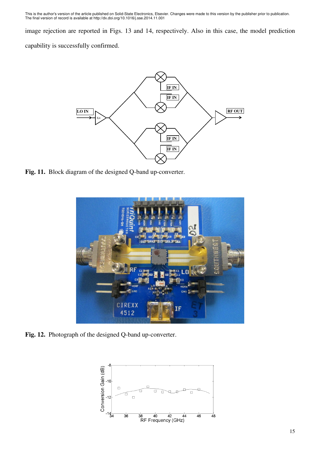image rejection are reported in Figs. 13 and 14, respectively. Also in this case, the model prediction capability is successfully confirmed.



**Fig. 11.** Block diagram of the designed Q-band up-converter.



**Fig. 12.** Photograph of the designed Q-band up-converter.

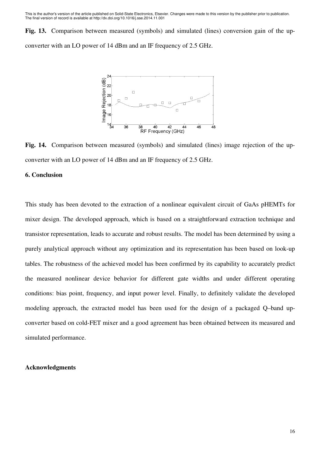**Fig. 13.** Comparison between measured (symbols) and simulated (lines) conversion gain of the upconverter with an LO power of 14 dBm and an IF frequency of 2.5 GHz.



**Fig. 14.** Comparison between measured (symbols) and simulated (lines) image rejection of the upconverter with an LO power of 14 dBm and an IF frequency of 2.5 GHz.

## **6. Conclusion**

This study has been devoted to the extraction of a nonlinear equivalent circuit of GaAs pHEMTs for mixer design. The developed approach, which is based on a straightforward extraction technique and transistor representation, leads to accurate and robust results. The model has been determined by using a purely analytical approach without any optimization and its representation has been based on look-up tables. The robustness of the achieved model has been confirmed by its capability to accurately predict the measured nonlinear device behavior for different gate widths and under different operating conditions: bias point, frequency, and input power level. Finally, to definitely validate the developed modeling approach, the extracted model has been used for the design of a packaged Q–band upconverter based on cold-FET mixer and a good agreement has been obtained between its measured and simulated performance.

#### **Acknowledgments**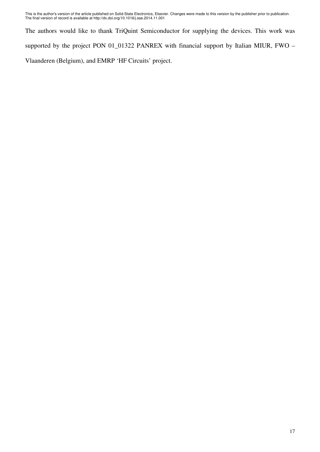The authors would like to thank TriQuint Semiconductor for supplying the devices. This work was supported by the project PON 01\_01322 PANREX with financial support by Italian MIUR, FWO – Vlaanderen (Belgium), and EMRP 'HF Circuits' project.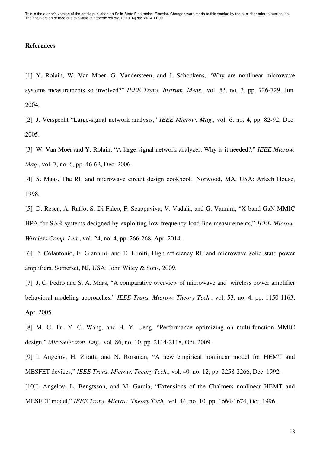# **References**

[1] Y. Rolain, W. Van Moer, G. Vandersteen, and J. Schoukens, "Why are nonlinear microwave systems measurements so involved?" *IEEE Trans. Instrum. Meas.,* vol. 53, no. 3, pp. 726-729, Jun. 2004.

[2] J. Verspecht "Large-signal network analysis," *IEEE Microw. Mag.*, vol. 6, no. 4, pp. 82-92, Dec. 2005.

[3] W. Van Moer and Y. Rolain, "A large-signal network analyzer: Why is it needed?," *IEEE Microw. Mag.*, vol. 7, no. 6, pp. 46-62, Dec. 2006.

[4] S. Maas, The RF and microwave circuit design cookbook. Norwood, MA, USA: Artech House, 1998.

[5] D. Resca, A. Raffo, S. Di Falco, F. Scappaviva, V. Vadalà, and G. Vannini, "X-band GaN MMIC HPA for SAR systems designed by exploiting low-frequency load-line measurements," *IEEE Microw. Wireless Comp. Lett.*, vol. 24, no. 4, pp. 266-268, Apr. 2014.

[6] P. Colantonio, F. Giannini, and E. Limiti, High efficiency RF and microwave solid state power amplifiers. Somerset, NJ, USA: John Wiley & Sons, 2009.

[7] J. C. Pedro and S. A. Maas, "A comparative overview of microwave and wireless power amplifier behavioral modeling approaches," *IEEE Trans. Microw. Theory Tech.*, vol. 53, no. 4, pp. 1150-1163, Apr. 2005.

[8] M. C. Tu, Y. C. Wang, and H. Y. Ueng, "Performance optimizing on multi-function MMIC design," *Microelectron. Eng.*, vol. 86, no. 10, pp. 2114-2118, Oct. 2009.

[9] I. Angelov, H. Zirath, and N. Rorsman, "A new empirical nonlinear model for HEMT and MESFET devices," *IEEE Trans. Microw. Theory Tech.*, vol. 40, no. 12, pp. 2258-2266, Dec. 1992.

[10] I. Angelov, L. Bengtsson, and M. Garcia, "Extensions of the Chalmers nonlinear HEMT and MESFET model," *IEEE Trans. Microw. Theory Tech.*, vol. 44, no. 10, pp. 1664-1674, Oct. 1996.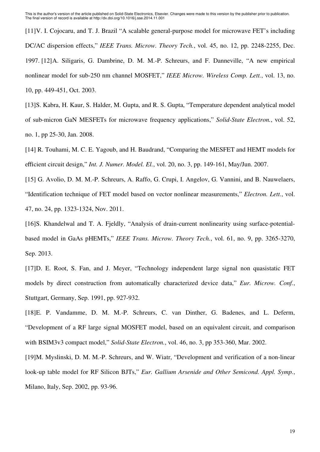[11] V. I. Cojocaru, and T. J. Brazil "A scalable general-purpose model for microwave FET's including DC/AC dispersion effects," *IEEE Trans. Microw. Theory Tech.*, vol. 45, no. 12, pp. 2248-2255, Dec. 1997. [12] A. Siligaris, G. Dambrine, D. M. M.-P. Schreurs, and F. Danneville, "A new empirical nonlinear model for sub-250 nm channel MOSFET," *IEEE Microw. Wireless Comp. Lett.*, vol. 13, no. 10, pp. 449-451, Oct. 2003.

[13] S. Kabra, H. Kaur, S. Halder, M. Gupta, and R. S. Gupta, "Temperature dependent analytical model of sub-micron GaN MESFETs for microwave frequency applications," *Solid-State Electron.*, vol. 52, no. 1, pp 25-30, Jan. 2008.

[14] R. Touhami, M. C. E. Yagoub, and H. Baudrand, "Comparing the MESFET and HEMT models for efficient circuit design," *Int. J. Numer. Model. El.*, vol. 20, no. 3, pp. 149-161, May/Jun. 2007.

[15] G. Avolio, D. M. M.-P. Schreurs, A. Raffo, G. Crupi, I. Angelov, G. Vannini, and B. Nauwelaers, "Identification technique of FET model based on vector nonlinear measurements," *Electron. Lett.*, vol. 47, no. 24, pp. 1323-1324, Nov. 2011.

[16] S. Khandelwal and T. A. Fjeldly, "Analysis of drain-current nonlinearity using surface-potentialbased model in GaAs pHEMTs," *IEEE Trans. Microw. Theory Tech.*, vol. 61, no. 9, pp. 3265-3270, Sep. 2013.

[17] D. E. Root, S. Fan, and J. Meyer, "Technology independent large signal non quasistatic FET models by direct construction from automatically characterized device data," *Eur. Microw. Conf.*, Stuttgart, Germany, Sep. 1991, pp. 927-932.

[18] E. P. Vandamme, D. M. M.-P. Schreurs, C. van Dinther, G. Badenes, and L. Deferm, "Development of a RF large signal MOSFET model, based on an equivalent circuit, and comparison with BSIM3v3 compact model," *Solid-State Electron.*, vol. 46, no. 3, pp 353-360, Mar. 2002.

[19] M. Myslinski, D. M. M.-P. Schreurs, and W. Wiatr, "Development and verification of a non-linear look-up table model for RF Silicon BJTs," *Eur. Gallium Arsenide and Other Semicond. Appl. Symp.*, Milano, Italy, Sep. 2002, pp. 93-96.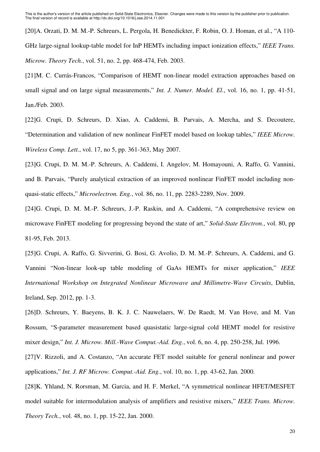[20] A. Orzati, D. M. M.-P. Schreurs, L. Pergola, H. Benedickter, F. Robin, O. J. Homan, et al., "A 110- GHz large-signal lookup-table model for InP HEMTs including impact ionization effects," *IEEE Trans. Microw. Theory Tech.*, vol. 51, no. 2, pp. 468-474, Feb. 2003.

[21] M. C. Currás-Francos, "Comparison of HEMT non-linear model extraction approaches based on small signal and on large signal measurements," *Int. J. Numer. Model. El.*, vol. 16, no. 1, pp. 41-51, Jan./Feb. 2003.

[22] G. Crupi, D. Schreurs, D. Xiao, A. Caddemi, B. Parvais, A. Mercha, and S. Decoutere, "Determination and validation of new nonlinear FinFET model based on lookup tables," *IEEE Microw. Wireless Comp. Lett.*, vol. 17, no 5, pp. 361-363, May 2007.

[23] G. Crupi, D. M. M.-P. Schreurs, A. Caddemi, I. Angelov, M. Homayouni, A. Raffo, G. Vannini, and B. Parvais, "Purely analytical extraction of an improved nonlinear FinFET model including nonquasi-static effects," *Microelectron. Eng.*, vol. 86, no. 11, pp. 2283-2289, Nov. 2009.

[24] G. Crupi, D. M. M.-P. Schreurs, J.-P. Raskin, and A. Caddemi, "A comprehensive review on microwave FinFET modeling for progressing beyond the state of art," *Solid-State Electron.*, vol. 80, pp 81-95, Feb. 2013.

[25] G. Crupi, A. Raffo, G. Sivverini, G. Bosi, G. Avolio, D. M. M.-P. Schreurs, A. Caddemi, and G. Vannini "Non-linear look-up table modeling of GaAs HEMTs for mixer application," *IEEE International Workshop on Integrated Nonlinear Microwave and Millimetre-Wave Circuits*, Dublin, Ireland, Sep. 2012, pp. 1-3.

[26] D. Schreurs, Y. Baeyens, B. K. J. C. Nauwelaers, W. De Raedt, M. Van Hove, and M. Van Rossum, "S-parameter measurement based quasistatic large-signal cold HEMT model for resistive mixer design," *Int. J. Microw. Mill.-Wave Comput.-Aid. Eng.*, vol. 6, no. 4, pp. 250-258, Jul. 1996.

[27] V. Rizzoli, and A. Costanzo, "An accurate FET model suitable for general nonlinear and power applications," *Int. J. RF Microw. Comput.-Aid. Eng.*, vol. 10, no. 1, pp. 43-62, Jan. 2000.

[28] K. Yhland, N. Rorsman, M. Garcia, and H. F. Merkel, "A symmetrical nonlinear HFET/MESFET model suitable for intermodulation analysis of amplifiers and resistive mixers," *IEEE Trans. Microw. Theory Tech.*, vol. 48, no. 1, pp. 15-22, Jan. 2000.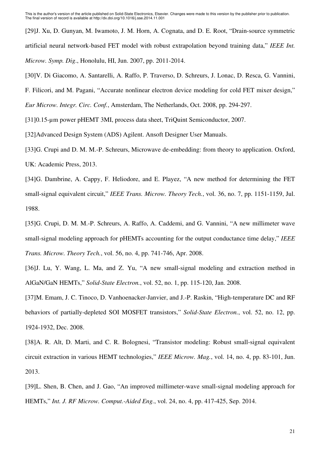[29] J. Xu, D. Gunyan, M. Iwamoto, J. M. Horn, A. Cognata, and D. E. Root, "Drain-source symmetric artificial neural network-based FET model with robust extrapolation beyond training data," *IEEE Int. Microw. Symp. Dig*., Honolulu, HI, Jun. 2007, pp. 2011-2014.

[30] V. Di Giacomo, A. Santarelli, A. Raffo, P. Traverso, D. Schreurs, J. Lonac, D. Resca, G. Vannini,

F. Filicori, and M. Pagani, "Accurate nonlinear electron device modeling for cold FET mixer design,"

*Eur Microw. Integr. Circ. Conf.*, Amsterdam, The Netherlands, Oct. 2008, pp. 294-297.

[31] 0.15-µm power pHEMT 3MI, process data sheet, TriQuint Semiconductor, 2007.

[32] Advanced Design System (ADS) Agilent. Ansoft Designer User Manuals.

[33] G. Crupi and D. M. M.-P. Schreurs, Microwave de-embedding: from theory to application. Oxford, UK: Academic Press, 2013.

[34] G. Dambrine, A. Cappy, F. Heliodore, and E. Playez, "A new method for determining the FET small-signal equivalent circuit," *IEEE Trans. Microw. Theory Tech.*, vol. 36, no. 7, pp. 1151-1159, Jul. 1988.

[35] G. Crupi, D. M. M.-P. Schreurs, A. Raffo, A. Caddemi, and G. Vannini, "A new millimeter wave small-signal modeling approach for pHEMTs accounting for the output conductance time delay," *IEEE Trans. Microw. Theory Tech.*, vol. 56, no. 4, pp. 741-746, Apr. 2008.

[36] J. Lu, Y. Wang, L. Ma, and Z. Yu, "A new small-signal modeling and extraction method in AlGaN/GaN HEMTs," *Solid-State Electron.*, vol. 52, no. 1, pp. 115-120, Jan. 2008.

[37] M. Emam, J. C. Tinoco, D. Vanhoenacker-Janvier, and J.-P. Raskin, "High-temperature DC and RF behaviors of partially-depleted SOI MOSFET transistors," *Solid-State Electron.*, vol. 52, no. 12, pp. 1924-1932, Dec. 2008.

[38] A. R. Alt, D. Marti, and C. R. Bolognesi, "Transistor modeling: Robust small-signal equivalent circuit extraction in various HEMT technologies," *IEEE Microw. Mag.*, vol. 14, no. 4, pp. 83-101, Jun. 2013.

[39] L. Shen, B. Chen, and J. Gao, "An improved millimeter-wave small-signal modeling approach for HEMTs," *Int. J. RF Microw. Comput.-Aided Eng.*, vol. 24, no. 4, pp. 417-425, Sep. 2014.

21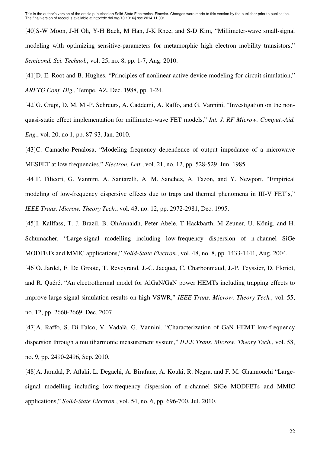[40] S-W Moon, J-H Oh, Y-H Baek, M Han, J-K Rhee, and S-D Kim, "Millimeter-wave small-signal modeling with optimizing sensitive-parameters for metamorphic high electron mobility transistors," *Semicond. Sci. Technol.*, vol. 25, no. 8, pp. 1-7, Aug. 2010.

[41] D. E. Root and B. Hughes, "Principles of nonlinear active device modeling for circuit simulation," *ARFTG Conf. Dig.*, Tempe, AZ, Dec. 1988, pp. 1-24.

[42] G. Crupi, D. M. M.-P. Schreurs, A. Caddemi, A. Raffo, and G. Vannini, "Investigation on the nonquasi-static effect implementation for millimeter-wave FET models," *Int. J. RF Microw. Comput.-Aid. Eng.*, vol. 20, no 1, pp. 87-93, Jan. 2010.

[43] C. Camacho-Penalosa, "Modeling frequency dependence of output impedance of a microwave MESFET at low frequencies," *Electron. Lett.*, vol. 21, no. 12, pp. 528-529, Jun. 1985.

[44] F. Filicori, G. Vannini, A. Santarelli, A. M. Sanchez, A. Tazon, and Y. Newport, "Empirical modeling of low-frequency dispersive effects due to traps and thermal phenomena in III-V FET's," *IEEE Trans. Microw. Theory Tech.*, vol. 43, no. 12, pp. 2972-2981, Dec. 1995.

[45] I. Kallfass, T. J. Brazil, B. OhAnnaidh, Peter Abele, T Hackbarth, M Zeuner, U. König, and H. Schumacher, "Large-signal modelling including low-frequency dispersion of n-channel SiGe MODFETs and MMIC applications," *Solid-State Electron.*, vol. 48, no. 8, pp. 1433-1441, Aug. 2004.

[46] O. Jardel, F. De Groote, T. Reveyrand, J.-C. Jacquet, C. Charbonniaud, J.-P. Teyssier, D. Floriot, and R. Quéré, "An electrothermal model for AlGaN/GaN power HEMTs including trapping effects to improve large-signal simulation results on high VSWR," *IEEE Trans. Microw. Theory Tech.*, vol. 55, no. 12, pp. 2660-2669, Dec. 2007.

[47] A. Raffo, S. Di Falco, V. Vadalà, G. Vannini, "Characterization of GaN HEMT low-frequency dispersion through a multiharmonic measurement system," *IEEE Trans. Microw. Theory Tech.*, vol. 58, no. 9, pp. 2490-2496, Sep. 2010.

[48] A. Jarndal, P. Aflaki, L. Degachi, A. Birafane, A. Kouki, R. Negra, and F. M. Ghannouchi "Largesignal modelling including low-frequency dispersion of n-channel SiGe MODFETs and MMIC applications," *Solid-State Electron.*, vol. 54, no. 6, pp. 696-700, Jul. 2010.

22